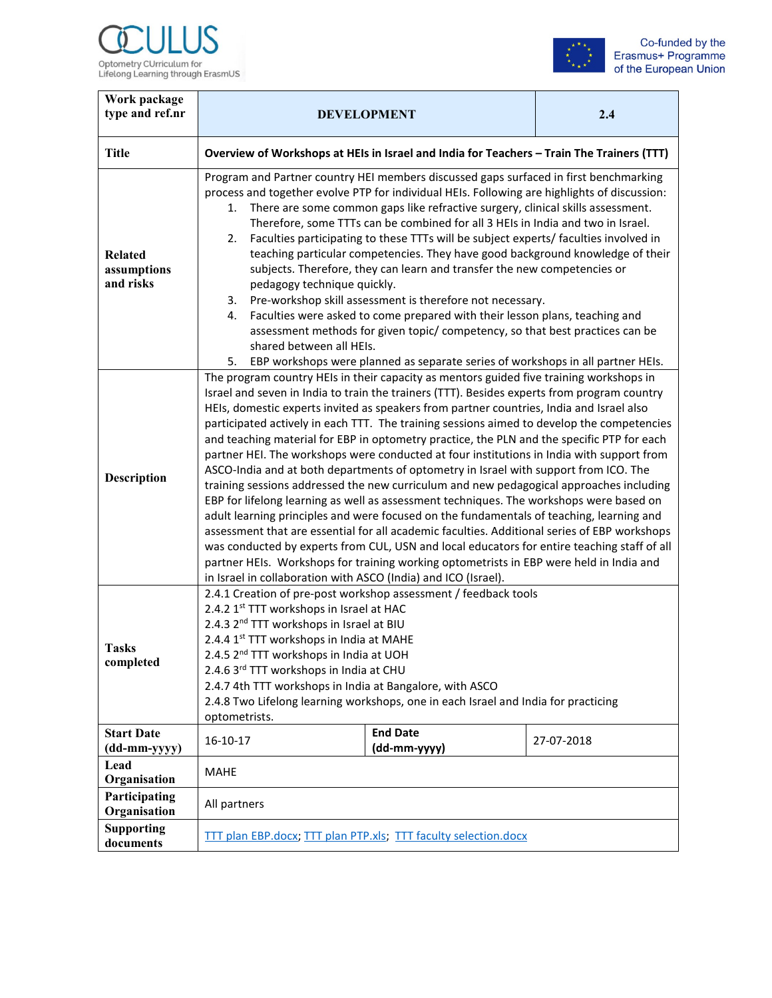



| Work package<br>type and ref.nr            | <b>DEVELOPMENT</b>                                                                                                                                                                                                                                                                                                                                                                                                                                                                                                                                                                                                                                                                                                                                                                                                                                                                                                                                                                                                                                                                                                                                                                                                                                                                                                | 2.4                             |            |  |
|--------------------------------------------|-------------------------------------------------------------------------------------------------------------------------------------------------------------------------------------------------------------------------------------------------------------------------------------------------------------------------------------------------------------------------------------------------------------------------------------------------------------------------------------------------------------------------------------------------------------------------------------------------------------------------------------------------------------------------------------------------------------------------------------------------------------------------------------------------------------------------------------------------------------------------------------------------------------------------------------------------------------------------------------------------------------------------------------------------------------------------------------------------------------------------------------------------------------------------------------------------------------------------------------------------------------------------------------------------------------------|---------------------------------|------------|--|
| <b>Title</b>                               | Overview of Workshops at HEIs in Israel and India for Teachers - Train The Trainers (TTT)                                                                                                                                                                                                                                                                                                                                                                                                                                                                                                                                                                                                                                                                                                                                                                                                                                                                                                                                                                                                                                                                                                                                                                                                                         |                                 |            |  |
| <b>Related</b><br>assumptions<br>and risks | Program and Partner country HEI members discussed gaps surfaced in first benchmarking<br>process and together evolve PTP for individual HEIs. Following are highlights of discussion:<br>There are some common gaps like refractive surgery, clinical skills assessment.<br>1.<br>Therefore, some TTTs can be combined for all 3 HEIs in India and two in Israel.<br>Faculties participating to these TTTs will be subject experts/ faculties involved in<br>2.<br>teaching particular competencies. They have good background knowledge of their<br>subjects. Therefore, they can learn and transfer the new competencies or<br>pedagogy technique quickly.<br>Pre-workshop skill assessment is therefore not necessary.<br>3.<br>Faculties were asked to come prepared with their lesson plans, teaching and<br>4.<br>assessment methods for given topic/ competency, so that best practices can be<br>shared between all HEIs.<br>EBP workshops were planned as separate series of workshops in all partner HEIs.<br>5.                                                                                                                                                                                                                                                                                        |                                 |            |  |
| <b>Description</b>                         | The program country HEIs in their capacity as mentors guided five training workshops in<br>Israel and seven in India to train the trainers (TTT). Besides experts from program country<br>HEIs, domestic experts invited as speakers from partner countries, India and Israel also<br>participated actively in each TTT. The training sessions aimed to develop the competencies<br>and teaching material for EBP in optometry practice, the PLN and the specific PTP for each<br>partner HEI. The workshops were conducted at four institutions in India with support from<br>ASCO-India and at both departments of optometry in Israel with support from ICO. The<br>training sessions addressed the new curriculum and new pedagogical approaches including<br>EBP for lifelong learning as well as assessment techniques. The workshops were based on<br>adult learning principles and were focused on the fundamentals of teaching, learning and<br>assessment that are essential for all academic faculties. Additional series of EBP workshops<br>was conducted by experts from CUL, USN and local educators for entire teaching staff of all<br>partner HEIs. Workshops for training working optometrists in EBP were held in India and<br>in Israel in collaboration with ASCO (India) and ICO (Israel). |                                 |            |  |
| <b>Tasks</b><br>completed                  | 2.4.1 Creation of pre-post workshop assessment / feedback tools<br>2.4.2 1st TTT workshops in Israel at HAC<br>2.4.3 2 <sup>nd</sup> TTT workshops in Israel at BIU<br>2.4.4 1 <sup>st</sup> TTT workshops in India at MAHE<br>2.4.5 2 <sup>nd</sup> TTT workshops in India at UOH<br>2.4.6 3rd TTT workshops in India at CHU<br>2.4.7 4th TTT workshops in India at Bangalore, with ASCO<br>2.4.8 Two Lifelong learning workshops, one in each Israel and India for practicing<br>optometrists.                                                                                                                                                                                                                                                                                                                                                                                                                                                                                                                                                                                                                                                                                                                                                                                                                  |                                 |            |  |
| <b>Start Date</b><br>(dd-mm-yyyy)          | 16-10-17                                                                                                                                                                                                                                                                                                                                                                                                                                                                                                                                                                                                                                                                                                                                                                                                                                                                                                                                                                                                                                                                                                                                                                                                                                                                                                          | <b>End Date</b><br>(dd-mm-yyyy) | 27-07-2018 |  |
| Lead<br>Organisation                       | <b>MAHE</b>                                                                                                                                                                                                                                                                                                                                                                                                                                                                                                                                                                                                                                                                                                                                                                                                                                                                                                                                                                                                                                                                                                                                                                                                                                                                                                       |                                 |            |  |
| Participating<br>Organisation              | All partners                                                                                                                                                                                                                                                                                                                                                                                                                                                                                                                                                                                                                                                                                                                                                                                                                                                                                                                                                                                                                                                                                                                                                                                                                                                                                                      |                                 |            |  |
| <b>Supporting</b><br>documents             | TTT plan EBP.docx, TTT plan PTP.xls; TTT faculty selection.docx                                                                                                                                                                                                                                                                                                                                                                                                                                                                                                                                                                                                                                                                                                                                                                                                                                                                                                                                                                                                                                                                                                                                                                                                                                                   |                                 |            |  |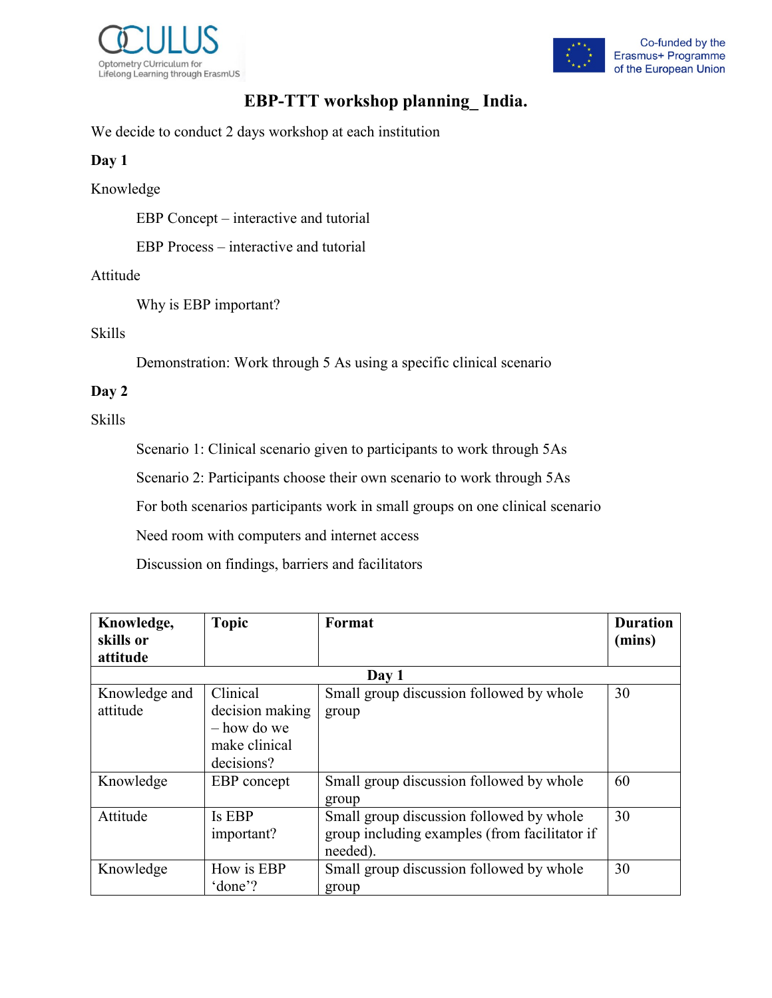



# **EBP-TTT workshop planning\_ India.**

We decide to conduct 2 days workshop at each institution

## **Day 1**

Knowledge

EBP Concept – interactive and tutorial

EBP Process – interactive and tutorial

### Attitude

Why is EBP important?

## Skills

Demonstration: Work through 5 As using a specific clinical scenario

### **Day 2**

Skills

Scenario 1: Clinical scenario given to participants to work through 5As

Scenario 2: Participants choose their own scenario to work through 5As

For both scenarios participants work in small groups on one clinical scenario

Need room with computers and internet access

Discussion on findings, barriers and facilitators

| Knowledge,    | <b>Topic</b>    | Format                                        | <b>Duration</b> |
|---------------|-----------------|-----------------------------------------------|-----------------|
| skills or     |                 |                                               | (mins)          |
| attitude      |                 |                                               |                 |
|               |                 | Day 1                                         |                 |
| Knowledge and | Clinical        | Small group discussion followed by whole      | 30              |
| attitude      | decision making | group                                         |                 |
|               | $-$ how do we   |                                               |                 |
|               | make clinical   |                                               |                 |
|               | decisions?      |                                               |                 |
| Knowledge     | EBP concept     | Small group discussion followed by whole      | 60              |
|               |                 | group                                         |                 |
| Attitude      | Is EBP          | Small group discussion followed by whole      | 30              |
|               | important?      | group including examples (from facilitator if |                 |
|               |                 | needed).                                      |                 |
| Knowledge     | How is EBP      | Small group discussion followed by whole      | 30              |
|               | 'done'?         | group                                         |                 |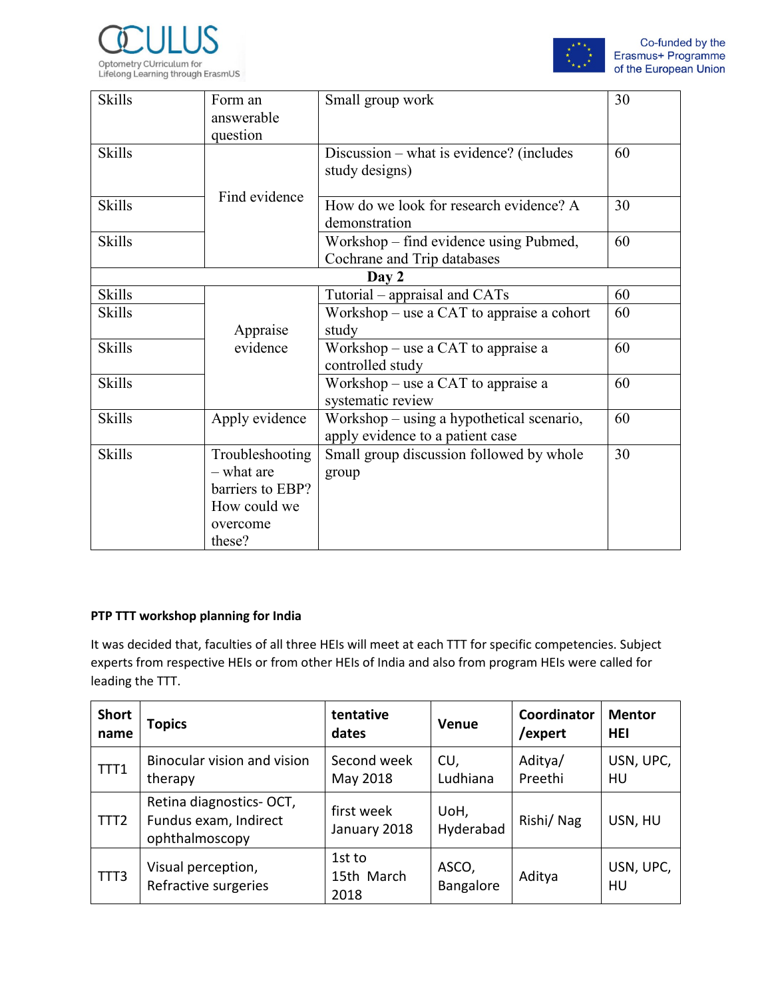



| <b>Skills</b> | Form an          | Small group work                          | 30 |
|---------------|------------------|-------------------------------------------|----|
|               | answerable       |                                           |    |
|               | question         |                                           |    |
| <b>Skills</b> |                  | Discussion – what is evidence? (includes  | 60 |
|               |                  | study designs)                            |    |
|               |                  |                                           |    |
| <b>Skills</b> | Find evidence    | How do we look for research evidence? A   | 30 |
|               |                  | demonstration                             |    |
|               |                  |                                           |    |
| <b>Skills</b> |                  | Workshop – find evidence using Pubmed,    | 60 |
|               |                  | Cochrane and Trip databases               |    |
|               |                  | Day 2                                     |    |
| <b>Skills</b> |                  | Tutorial – appraisal and CATs             | 60 |
| <b>Skills</b> |                  | Workshop - use a CAT to appraise a cohort | 60 |
|               | Appraise         | study                                     |    |
| <b>Skills</b> | evidence         | Workshop - use a CAT to appraise a        | 60 |
|               |                  | controlled study                          |    |
| <b>Skills</b> |                  | Workshop - use a CAT to appraise a        | 60 |
|               |                  | systematic review                         |    |
| <b>Skills</b> | Apply evidence   | Workshop – using a hypothetical scenario, | 60 |
|               |                  | apply evidence to a patient case          |    |
| <b>Skills</b> | Troubleshooting  | Small group discussion followed by whole  | 30 |
|               | - what are       | group                                     |    |
|               | barriers to EBP? |                                           |    |
|               | How could we     |                                           |    |
|               | overcome         |                                           |    |
|               | these?           |                                           |    |
|               |                  |                                           |    |

#### **PTP TTT workshop planning for India**

It was decided that, faculties of all three HEIs will meet at each TTT for specific competencies. Subject experts from respective HEIs or from other HEIs of India and also from program HEIs were called for leading the TTT.

| <b>Short</b><br>name | <b>Topics</b>                                                      | tentative<br>dates           | Venue              | Coordinator<br>/expert | <b>Mentor</b><br><b>HEI</b> |
|----------------------|--------------------------------------------------------------------|------------------------------|--------------------|------------------------|-----------------------------|
| TTT1                 | Binocular vision and vision<br>therapy                             | Second week<br>May 2018      | CU,<br>Ludhiana    | Aditya/<br>Preethi     | USN, UPC,<br>HU             |
| TTT <sub>2</sub>     | Retina diagnostics-OCT,<br>Fundus exam, Indirect<br>ophthalmoscopy | first week<br>January 2018   | UoH,<br>Hyderabad  | Rishi/Nag              | USN, HU                     |
| TTT3                 | Visual perception,<br>Refractive surgeries                         | 1st to<br>15th March<br>2018 | ASCO,<br>Bangalore | Aditya                 | USN, UPC,<br>HU             |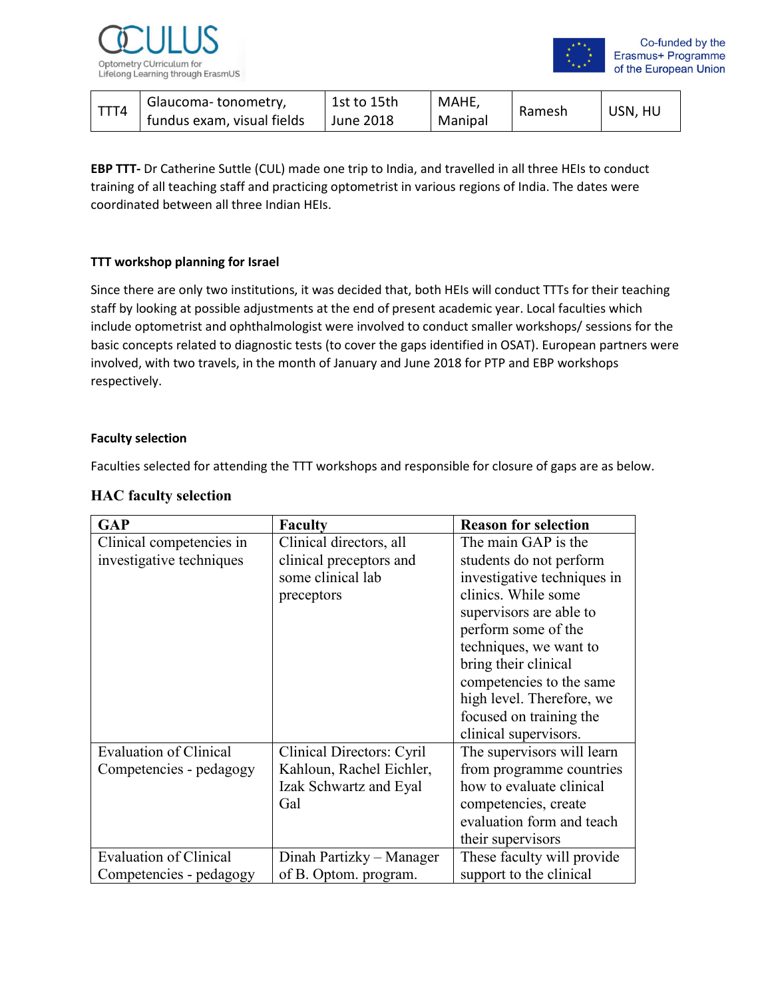



| Glaucoma-tonometry,        | 1st to 15th | MAHE,   |        | USN, HU |
|----------------------------|-------------|---------|--------|---------|
| fundus exam, visual fields | June 2018   | Manipal | Ramesh |         |

**EBP TTT-** Dr Catherine Suttle (CUL) made one trip to India, and travelled in all three HEIs to conduct training of all teaching staff and practicing optometrist in various regions of India. The dates were coordinated between all three Indian HEIs.

#### **TTT workshop planning for Israel**

Since there are only two institutions, it was decided that, both HEIs will conduct TTTs for their teaching staff by looking at possible adjustments at the end of present academic year. Local faculties which include optometrist and ophthalmologist were involved to conduct smaller workshops/ sessions for the basic concepts related to diagnostic tests (to cover the gaps identified in OSAT). European partners were involved, with two travels, in the month of January and June 2018 for PTP and EBP workshops respectively.

#### **Faculty selection**

Faculties selected for attending the TTT workshops and responsible for closure of gaps are as below.

#### **HAC faculty selection**

| <b>GAP</b>                    | <b>Faculty</b>            | <b>Reason for selection</b> |
|-------------------------------|---------------------------|-----------------------------|
| Clinical competencies in      | Clinical directors, all   | The main GAP is the         |
| investigative techniques      | clinical preceptors and   | students do not perform     |
|                               | some clinical lab         | investigative techniques in |
|                               | preceptors                | clinics. While some         |
|                               |                           | supervisors are able to     |
|                               |                           | perform some of the         |
|                               |                           | techniques, we want to      |
|                               |                           | bring their clinical        |
|                               |                           | competencies to the same    |
|                               |                           | high level. Therefore, we   |
|                               |                           | focused on training the     |
|                               |                           | clinical supervisors.       |
| <b>Evaluation of Clinical</b> | Clinical Directors: Cyril | The supervisors will learn  |
| Competencies - pedagogy       | Kahloun, Rachel Eichler,  | from programme countries    |
|                               | Izak Schwartz and Eyal    | how to evaluate clinical    |
|                               | Gal                       | competencies, create        |
|                               |                           | evaluation form and teach   |
|                               |                           | their supervisors           |
| <b>Evaluation of Clinical</b> | Dinah Partizky – Manager  | These faculty will provide  |
| Competencies - pedagogy       | of B. Optom. program.     | support to the clinical     |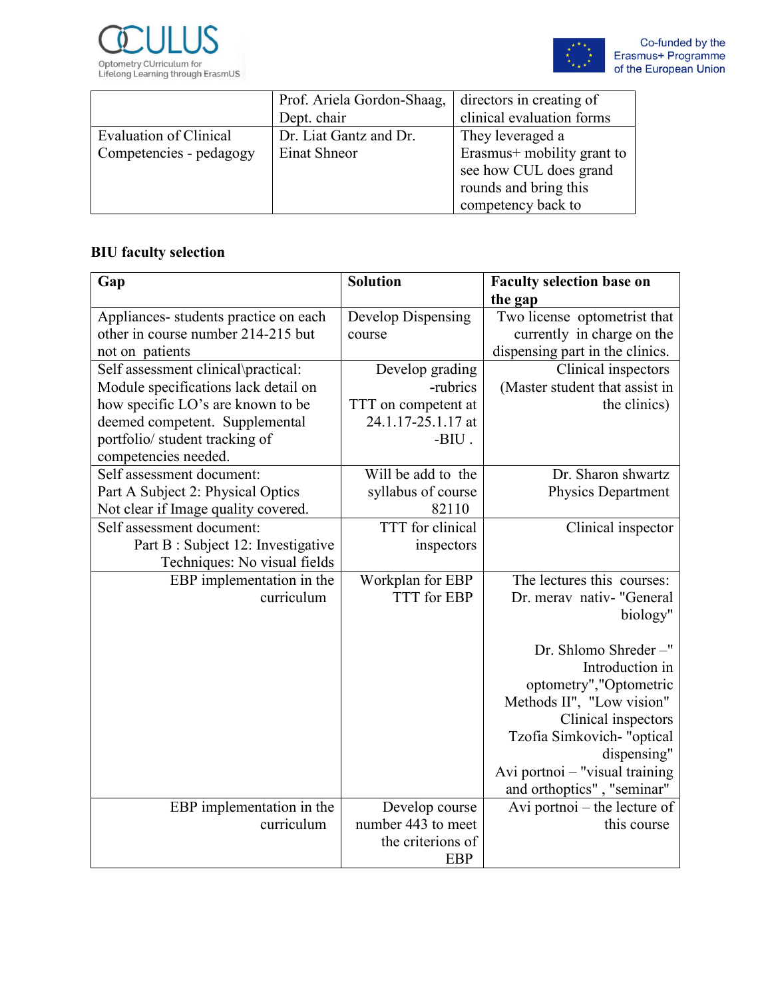



|                         | Prof. Ariela Gordon-Shaag, | directors in creating of   |
|-------------------------|----------------------------|----------------------------|
|                         | Dept. chair                | clinical evaluation forms  |
| Evaluation of Clinical  | Dr. Liat Gantz and Dr.     | They leveraged a           |
| Competencies - pedagogy | Einat Shneor               | Erasmus+ mobility grant to |
|                         |                            | see how CUL does grand     |
|                         |                            | rounds and bring this      |
|                         |                            | competency back to         |

# **BIU faculty selection**

| Gap                                   | <b>Solution</b>     | <b>Faculty selection base on</b> |
|---------------------------------------|---------------------|----------------------------------|
|                                       |                     | the gap                          |
| Appliances- students practice on each | Develop Dispensing  | Two license optometrist that     |
| other in course number 214-215 but    | course              | currently in charge on the       |
| not on patients                       |                     | dispensing part in the clinics.  |
| Self assessment clinical\practical:   | Develop grading     | Clinical inspectors              |
| Module specifications lack detail on  | -rubrics            | (Master student that assist in   |
| how specific LO's are known to be     | TTT on competent at | the clinics)                     |
| deemed competent. Supplemental        | 24.1.17-25.1.17 at  |                                  |
| portfolio/ student tracking of        | $-BIU$ .            |                                  |
| competencies needed.                  |                     |                                  |
| Self assessment document:             | Will be add to the  | Dr. Sharon shwartz               |
| Part A Subject 2: Physical Optics     | syllabus of course  | <b>Physics Department</b>        |
| Not clear if Image quality covered.   | 82110               |                                  |
| Self assessment document:             | TTT for clinical    | Clinical inspector               |
| Part B : Subject 12: Investigative    | inspectors          |                                  |
| Techniques: No visual fields          |                     |                                  |
| EBP implementation in the             | Workplan for EBP    | The lectures this courses:       |
| curriculum                            | <b>TTT</b> for EBP  | Dr. merav nativ- "General        |
|                                       |                     | biology"                         |
|                                       |                     |                                  |
|                                       |                     | Dr. Shlomo Shreder-"             |
|                                       |                     | Introduction in                  |
|                                       |                     | optometry","Optometric           |
|                                       |                     | Methods II", "Low vision"        |
|                                       |                     | Clinical inspectors              |
|                                       |                     | Tzofia Simkovich- "optical       |
|                                       |                     | dispensing"                      |
|                                       |                     | Avi portnoi - "visual training   |
|                                       |                     | and orthoptics", "seminar"       |
| EBP implementation in the             | Develop course      | Avi portnoi – the lecture of     |
| curriculum                            | number 443 to meet  | this course                      |
|                                       | the criterions of   |                                  |
|                                       | <b>EBP</b>          |                                  |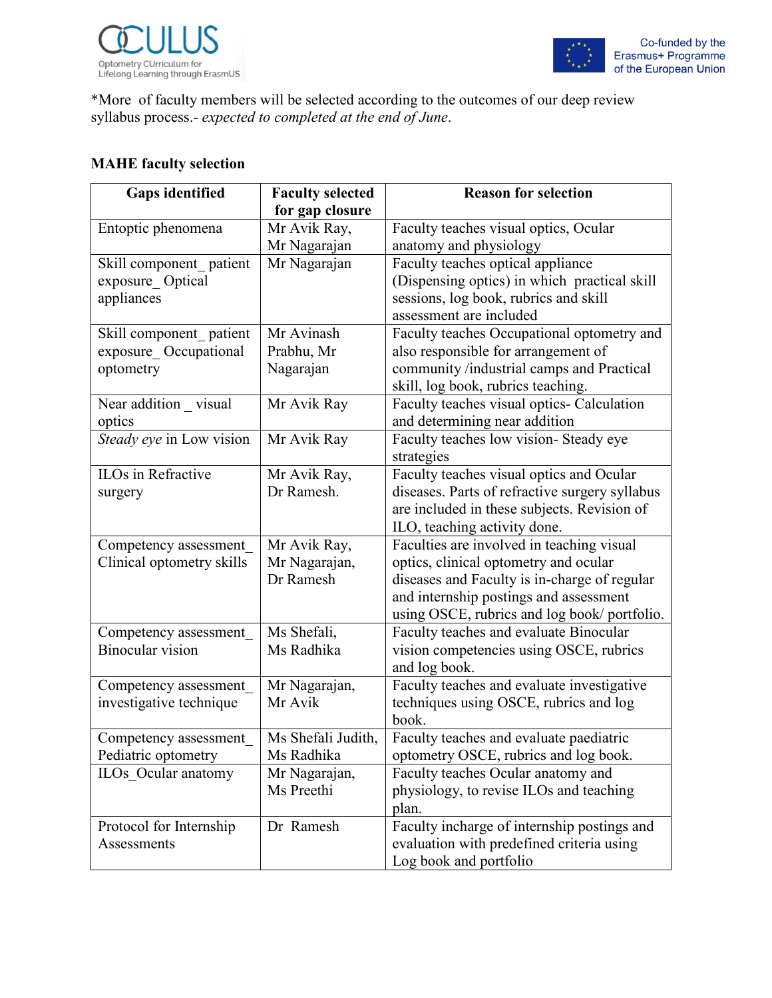



\*More of faculty members will be selected according to the outcomes of our deep review syllabus process.- *expected to completed at the end of June*.

# **MAHE faculty selection**

| <b>Gaps identified</b>    | <b>Faculty selected</b> | <b>Reason for selection</b>                    |
|---------------------------|-------------------------|------------------------------------------------|
|                           | for gap closure         |                                                |
| Entoptic phenomena        | Mr Avik Ray,            | Faculty teaches visual optics, Ocular          |
|                           | Mr Nagarajan            | anatomy and physiology                         |
| Skill component patient   | Mr Nagarajan            | Faculty teaches optical appliance              |
| exposure Optical          |                         | (Dispensing optics) in which practical skill   |
| appliances                |                         | sessions, log book, rubrics and skill          |
|                           |                         | assessment are included                        |
| Skill component patient   | Mr Avinash              | Faculty teaches Occupational optometry and     |
| exposure Occupational     | Prabhu, Mr              | also responsible for arrangement of            |
| optometry                 | Nagarajan               | community /industrial camps and Practical      |
|                           |                         | skill, log book, rubrics teaching.             |
| Near addition _ visual    | Mr Avik Ray             | Faculty teaches visual optics- Calculation     |
| optics                    |                         | and determining near addition                  |
| Steady eye in Low vision  | Mr Avik Ray             | Faculty teaches low vision- Steady eye         |
|                           |                         | strategies                                     |
| <b>ILOs</b> in Refractive | Mr Avik Ray,            | Faculty teaches visual optics and Ocular       |
| surgery                   | Dr Ramesh.              | diseases. Parts of refractive surgery syllabus |
|                           |                         | are included in these subjects. Revision of    |
|                           |                         | ILO, teaching activity done.                   |
| Competency assessment     | Mr Avik Ray,            | Faculties are involved in teaching visual      |
| Clinical optometry skills | Mr Nagarajan,           | optics, clinical optometry and ocular          |
|                           | Dr Ramesh               | diseases and Faculty is in-charge of regular   |
|                           |                         | and internship postings and assessment         |
|                           |                         | using OSCE, rubrics and log book/portfolio.    |
| Competency assessment     | Ms Shefali,             | Faculty teaches and evaluate Binocular         |
| <b>Binocular</b> vision   | Ms Radhika              | vision competencies using OSCE, rubrics        |
|                           |                         | and log book.                                  |
| Competency assessment     | Mr Nagarajan,           | Faculty teaches and evaluate investigative     |
| investigative technique   | Mr Avik                 | techniques using OSCE, rubrics and log         |
|                           |                         | book.                                          |
| Competency assessment     | Ms Shefali Judith,      | Faculty teaches and evaluate paediatric        |
| Pediatric optometry       | Ms Radhika              | optometry OSCE, rubrics and log book.          |
| ILOs Ocular anatomy       | Mr Nagarajan,           | Faculty teaches Ocular anatomy and             |
|                           | Ms Preethi              | physiology, to revise ILOs and teaching        |
|                           |                         | plan.                                          |
| Protocol for Internship   | Dr Ramesh               | Faculty incharge of internship postings and    |
| Assessments               |                         | evaluation with predefined criteria using      |
|                           |                         | Log book and portfolio                         |